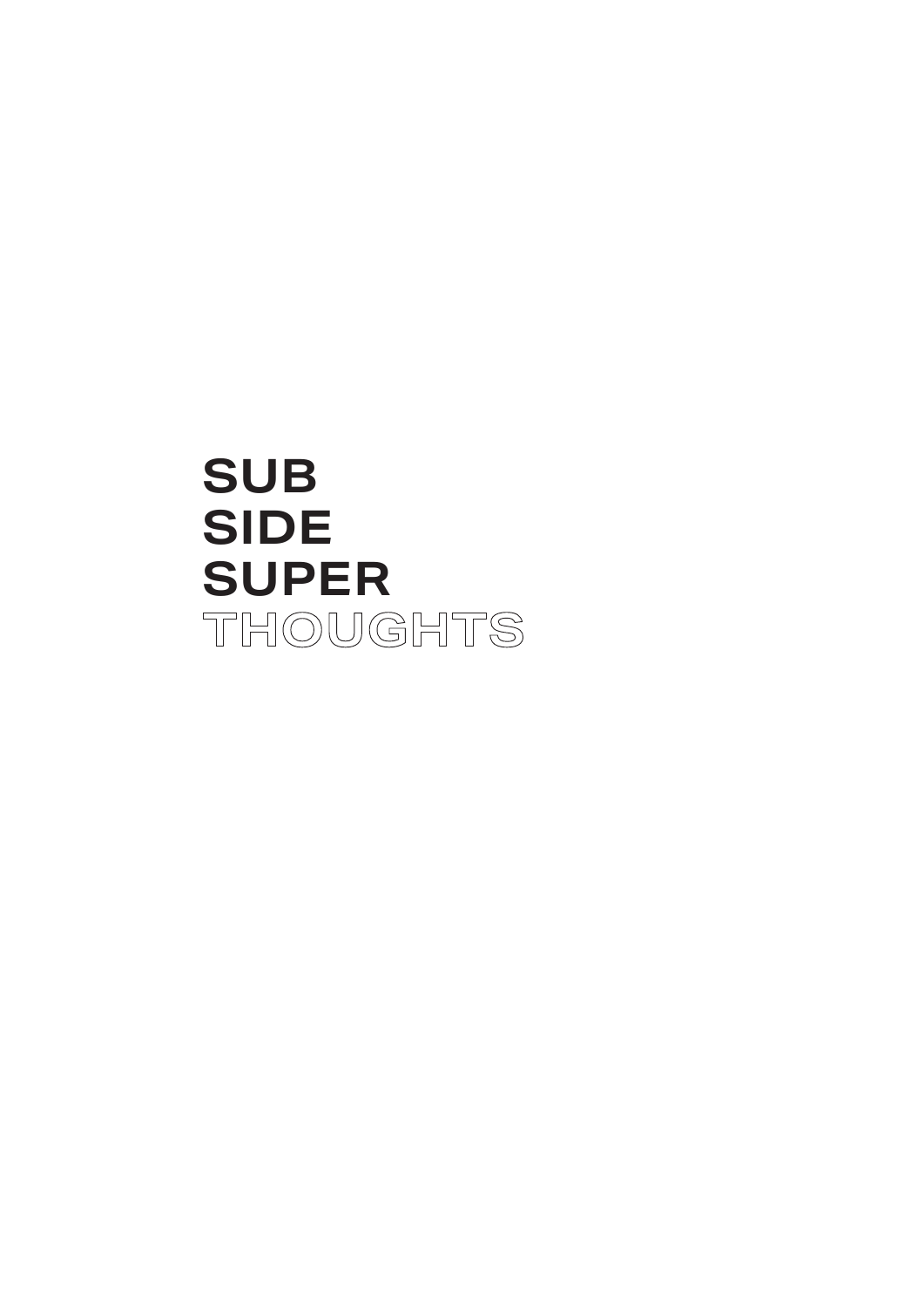## **SUB SIDE SUPER**THOUGHTS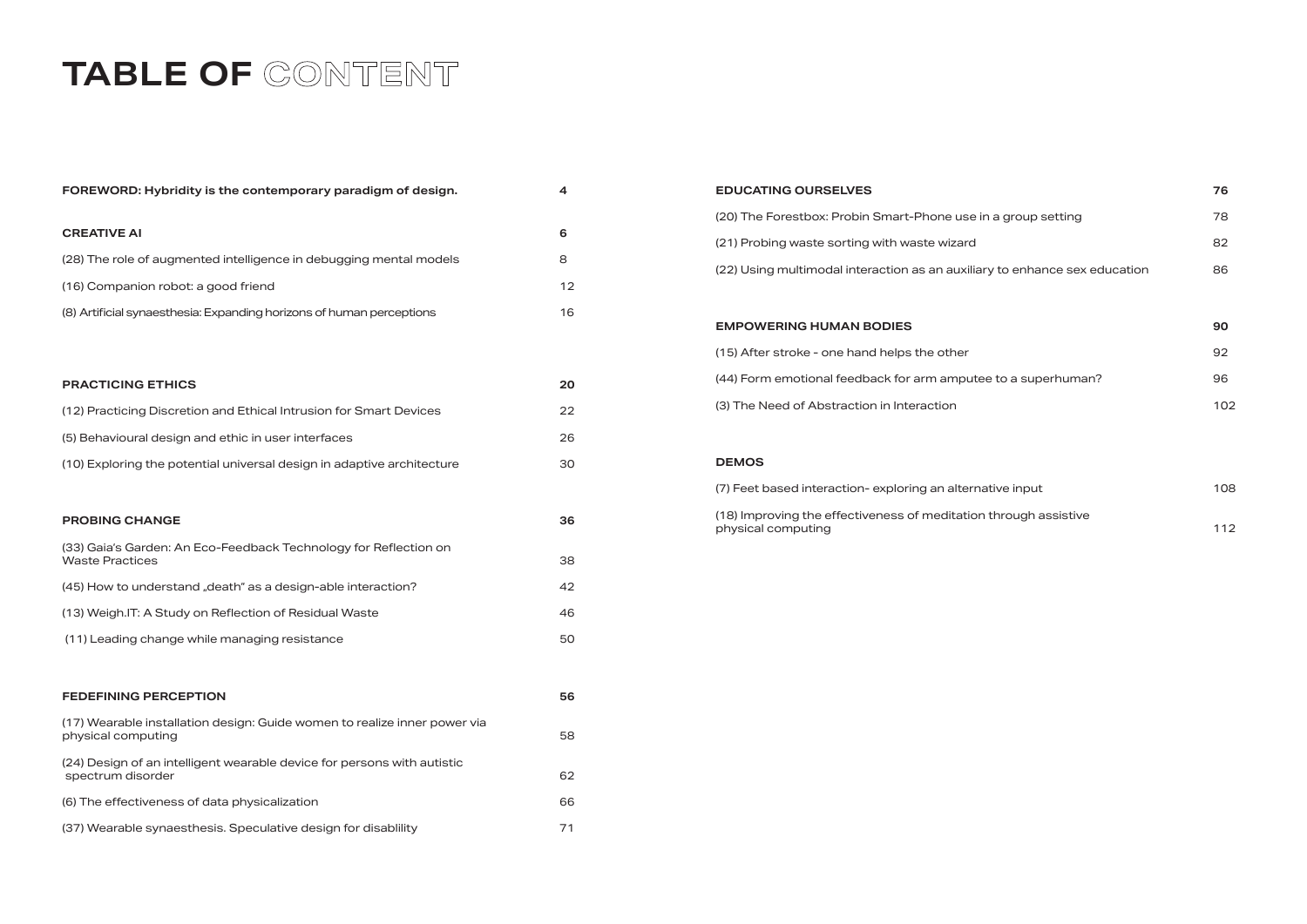## TABLE OF CONTENT

| FOREWORD: Hybridity is the contemporary paradigm of design.                                     | 4  |
|-------------------------------------------------------------------------------------------------|----|
| <b>CREATIVE AI</b>                                                                              | 6  |
| (28) The role of augmented intelligence in debugging mental models                              | 8  |
| (16) Companion robot: a good friend                                                             | 12 |
| (8) Artificial synaesthesia: Expanding horizons of human perceptions                            | 16 |
|                                                                                                 |    |
| <b>PRACTICING ETHICS</b>                                                                        | 20 |
| (12) Practicing Discretion and Ethical Intrusion for Smart Devices                              | 22 |
| (5) Behavioural design and ethic in user interfaces                                             | 26 |
| (10) Exploring the potential universal design in adaptive architecture                          | 30 |
|                                                                                                 |    |
| <b>PROBING CHANGE</b>                                                                           | 36 |
| (33) Gaia's Garden: An Eco-Feedback Technology for Reflection on<br><b>Waste Practices</b>      | 38 |
| (45) How to understand "death" as a design-able interaction?                                    | 42 |
| (13) Weigh.IT: A Study on Reflection of Residual Waste                                          | 46 |
| (11) Leading change while managing resistance                                                   | 50 |
| <b>FEDEFINING PERCEPTION</b>                                                                    | 56 |
|                                                                                                 |    |
| (17) Wearable installation design: Guide women to realize inner power via<br>physical computing | 58 |
| (24) Design of an intelligent wearable device for persons with autistic<br>spectrum disorder    | 62 |
| (6) The effectiveness of data physicalization                                                   | 66 |
| (37) Wearable synaesthesis. Speculative design for disabiliity                                  | 71 |

| <b>EDUCATING OURSELVES</b>                                                             | 76  |
|----------------------------------------------------------------------------------------|-----|
| (20) The Forestbox: Probin Smart-Phone use in a group setting                          | 78  |
| (21) Probing waste sorting with waste wizard                                           | 82  |
| (22) Using multimodal interaction as an auxiliary to enhance sex education             | 86  |
|                                                                                        |     |
| <b>EMPOWERING HUMAN BODIES</b>                                                         | 90  |
| (15) After stroke - one hand helps the other                                           | 92  |
| (44) Form emotional feedback for arm amputee to a superhuman?                          | 96  |
| (3) The Need of Abstraction in Interaction                                             | 102 |
|                                                                                        |     |
| <b>DEMOS</b>                                                                           |     |
| (7) Feet based interaction-exploring an alternative input                              | 108 |
| (18) Improving the effectiveness of meditation through assistive<br>physical computing | 112 |
|                                                                                        |     |
|                                                                                        |     |
|                                                                                        |     |
|                                                                                        |     |

| a group setting            | 78  |
|----------------------------|-----|
|                            | 82  |
| y to enhance sex education | 86  |
|                            |     |
| e to a superhuman?         | 90  |
|                            | 92  |
|                            | 96  |
|                            | 102 |
|                            |     |
|                            |     |
| tive input                 | 108 |
| through assistive          | 112 |
|                            |     |